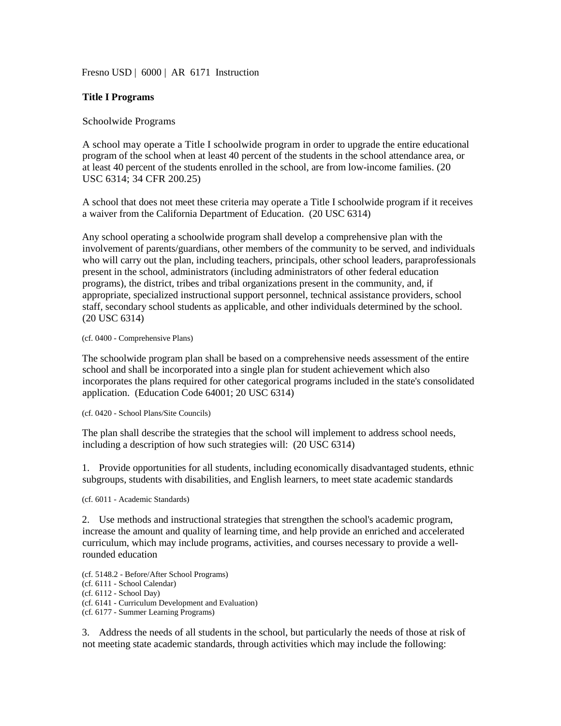Fresno USD | 6000 | AR 6171 Instruction

## **Title I Programs**

## Schoolwide Programs

A school may operate a Title I schoolwide program in order to upgrade the entire educational program of the school when at least 40 percent of the students in the school attendance area, or at least 40 percent of the students enrolled in the school, are from low-income families. (20 USC 6314; 34 CFR 200.25)

A school that does not meet these criteria may operate a Title I schoolwide program if it receives a waiver from the California Department of Education. (20 USC 6314)

Any school operating a schoolwide program shall develop a comprehensive plan with the involvement of parents/guardians, other members of the community to be served, and individuals who will carry out the plan, including teachers, principals, other school leaders, paraprofessionals present in the school, administrators (including administrators of other federal education programs), the district, tribes and tribal organizations present in the community, and, if appropriate, specialized instructional support personnel, technical assistance providers, school staff, secondary school students as applicable, and other individuals determined by the school. (20 USC 6314)

## (cf. 0400 - Comprehensive Plans)

The schoolwide program plan shall be based on a comprehensive needs assessment of the entire school and shall be incorporated into a single plan for student achievement which also incorporates the plans required for other categorical programs included in the state's consolidated application. (Education Code 64001; 20 USC 6314)

(cf. 0420 - School Plans/Site Councils)

The plan shall describe the strategies that the school will implement to address school needs, including a description of how such strategies will: (20 USC 6314)

1. Provide opportunities for all students, including economically disadvantaged students, ethnic subgroups, students with disabilities, and English learners, to meet state academic standards

(cf. 6011 - Academic Standards)

2. Use methods and instructional strategies that strengthen the school's academic program, increase the amount and quality of learning time, and help provide an enriched and accelerated curriculum, which may include programs, activities, and courses necessary to provide a wellrounded education

(cf. 5148.2 - Before/After School Programs)

- (cf. 6111 School Calendar)
- (cf. 6112 School Day)
- (cf. 6141 Curriculum Development and Evaluation)
- (cf. 6177 Summer Learning Programs)

3. Address the needs of all students in the school, but particularly the needs of those at risk of not meeting state academic standards, through activities which may include the following: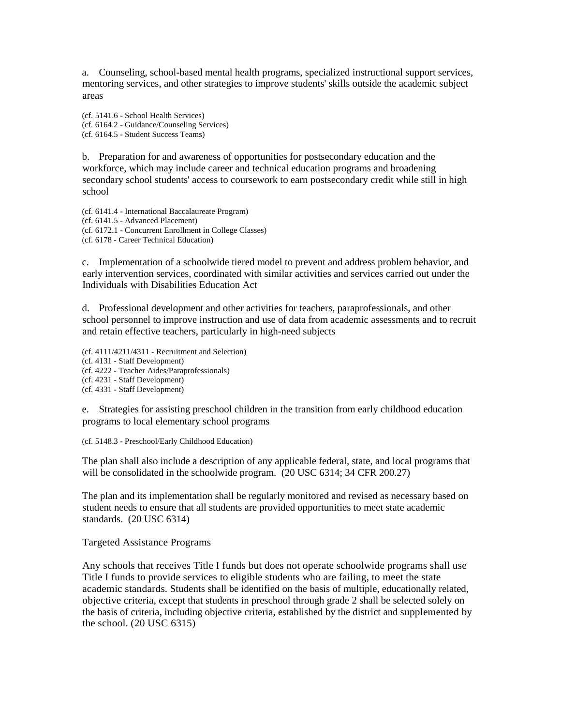a. Counseling, school-based mental health programs, specialized instructional support services, mentoring services, and other strategies to improve students' skills outside the academic subject areas

(cf. 5141.6 - School Health Services) (cf. 6164.2 - Guidance/Counseling Services) (cf. 6164.5 - Student Success Teams)

b. Preparation for and awareness of opportunities for postsecondary education and the workforce, which may include career and technical education programs and broadening secondary school students' access to coursework to earn postsecondary credit while still in high school

(cf. 6141.4 - International Baccalaureate Program) (cf. 6141.5 - Advanced Placement) (cf. 6172.1 - Concurrent Enrollment in College Classes) (cf. 6178 - Career Technical Education)

c. Implementation of a schoolwide tiered model to prevent and address problem behavior, and early intervention services, coordinated with similar activities and services carried out under the Individuals with Disabilities Education Act

d. Professional development and other activities for teachers, paraprofessionals, and other school personnel to improve instruction and use of data from academic assessments and to recruit and retain effective teachers, particularly in high-need subjects

(cf. 4111/4211/4311 - Recruitment and Selection) (cf. 4131 - Staff Development) (cf. 4222 - Teacher Aides/Paraprofessionals) (cf. 4231 - Staff Development) (cf. 4331 - Staff Development)

e. Strategies for assisting preschool children in the transition from early childhood education programs to local elementary school programs

(cf. 5148.3 - Preschool/Early Childhood Education)

The plan shall also include a description of any applicable federal, state, and local programs that will be consolidated in the schoolwide program. (20 USC 6314; 34 CFR 200.27)

The plan and its implementation shall be regularly monitored and revised as necessary based on student needs to ensure that all students are provided opportunities to meet state academic standards. (20 USC 6314)

Targeted Assistance Programs

Any schools that receives Title I funds but does not operate schoolwide programs shall use Title I funds to provide services to eligible students who are failing, to meet the state academic standards. Students shall be identified on the basis of multiple, educationally related, objective criteria, except that students in preschool through grade 2 shall be selected solely on the basis of criteria, including objective criteria, established by the district and supplemented by the school. (20 USC 6315)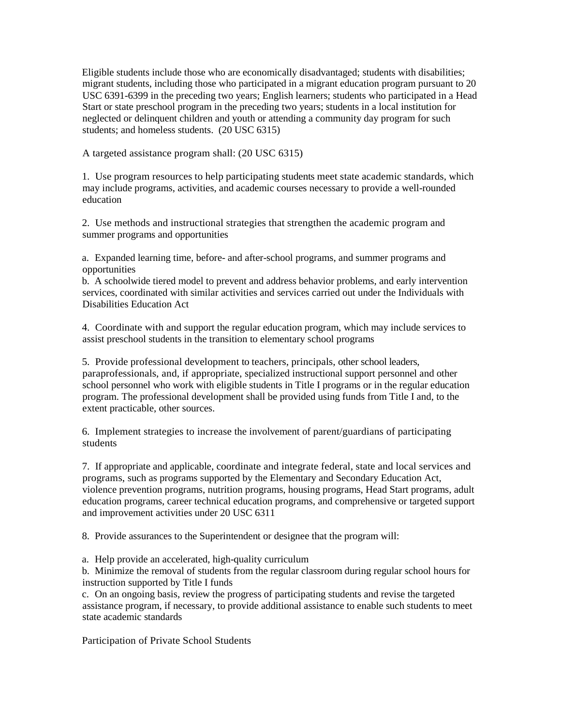Eligible students include those who are economically disadvantaged; students with disabilities; migrant students, including those who participated in a migrant education program pursuant to 20 USC 6391-6399 in the preceding two years; English learners; students who participated in a Head Start or state preschool program in the preceding two years; students in a local institution for neglected or delinquent children and youth or attending a community day program for such students; and homeless students. (20 USC 6315)

A targeted assistance program shall: (20 USC 6315)

1. Use program resources to help participating students meet state academic standards, which may include programs, activities, and academic courses necessary to provide a well-rounded education

2. Use methods and instructional strategies that strengthen the academic program and summer programs and opportunities

a. Expanded learning time, before- and after-school programs, and summer programs and opportunities

b. A schoolwide tiered model to prevent and address behavior problems, and early intervention services, coordinated with similar activities and services carried out under the Individuals with Disabilities Education Act

4. Coordinate with and support the regular education program, which may include services to assist preschool students in the transition to elementary school programs

5. Provide professional development to teachers, principals, other school leaders, paraprofessionals, and, if appropriate, specialized instructional support personnel and other school personnel who work with eligible students in Title I programs or in the regular education program. The professional development shall be provided using funds from Title I and, to the extent practicable, other sources.

6. Implement strategies to increase the involvement of parent/guardians of participating students

7. If appropriate and applicable, coordinate and integrate federal, state and local services and programs, such as programs supported by the Elementary and Secondary Education Act, violence prevention programs, nutrition programs, housing programs, Head Start programs, adult education programs, career technical education programs, and comprehensive or targeted support and improvement activities under 20 USC 6311

8. Provide assurances to the Superintendent or designee that the program will:

a. Help provide an accelerated, high-quality curriculum

b. Minimize the removal of students from the regular classroom during regular school hours for instruction supported by Title I funds

c. On an ongoing basis, review the progress of participating students and revise the targeted assistance program, if necessary, to provide additional assistance to enable such students to meet state academic standards

Participation of Private School Students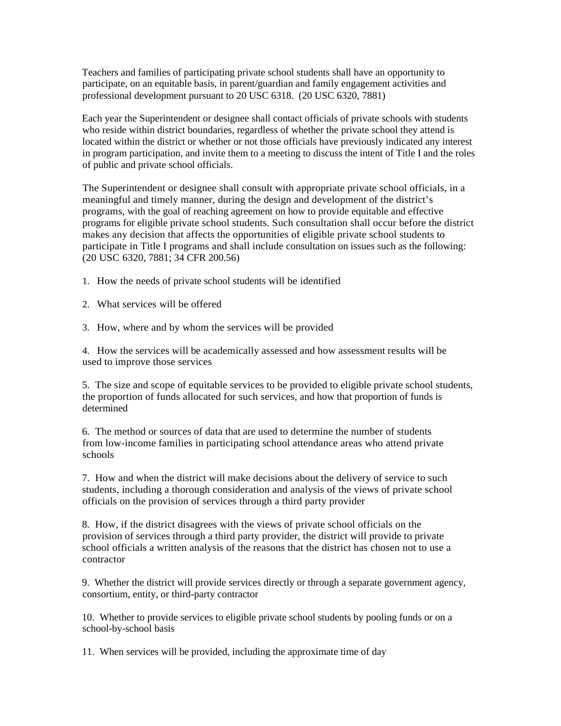Teachers and families of participating private school students shall have an opportunity to participate, on an equitable basis, in parent/guardian and family engagement activities and professional development pursuant to 20 USC 6318. (20 USC 6320, 7881)

Each year the Superintendent or designee shall contact officials of private schools with students who reside within district boundaries, regardless of whether the private school they attend is located within the district or whether or not those officials have previously indicated any interest in program participation, and invite them to a meeting to discuss the intent of Title I and the roles of public and private school officials.

The Superintendent or designee shall consult with appropriate private school officials, in a meaningful and timely manner, during the design and development of the district's programs, with the goal of reaching agreement on how to provide equitable and effective programs for eligible private school students. Such consultation shall occur before the district makes any decision that affects the opportunities of eligible private school students to participate in Title I programs and shall include consultation on issues such as the following: (20 USC 6320, 7881; 34 CFR 200.56)

- 1. How the needs of private school students will be identified
- 2. What services will be offered
- 3. How, where and by whom the services will be provided

4. How the services will be academically assessed and how assessment results will be used to improve those services

5. The size and scope of equitable services to be provided to eligible private school students, the proportion of funds allocated for such services, and how that proportion of funds is determined

6. The method or sources of data that are used to determine the number of students from low-income families in participating school attendance areas who attend private schools

7. How and when the district will make decisions about the delivery of service to such students, including a thorough consideration and analysis of the views of private school officials on the provision of services through a third party provider

8. How, if the district disagrees with the views of private school officials on the provision of services through a third party provider, the district will provide to private school officials a written analysis of the reasons that the district has chosen not to use a contractor

9. Whether the district will provide services directly or through a separate government agency, consortium, entity, or third-party contractor

10. Whether to provide services to eligible private school students by pooling funds or on a school-by-school basis

11. When services will be provided, including the approximate time of day